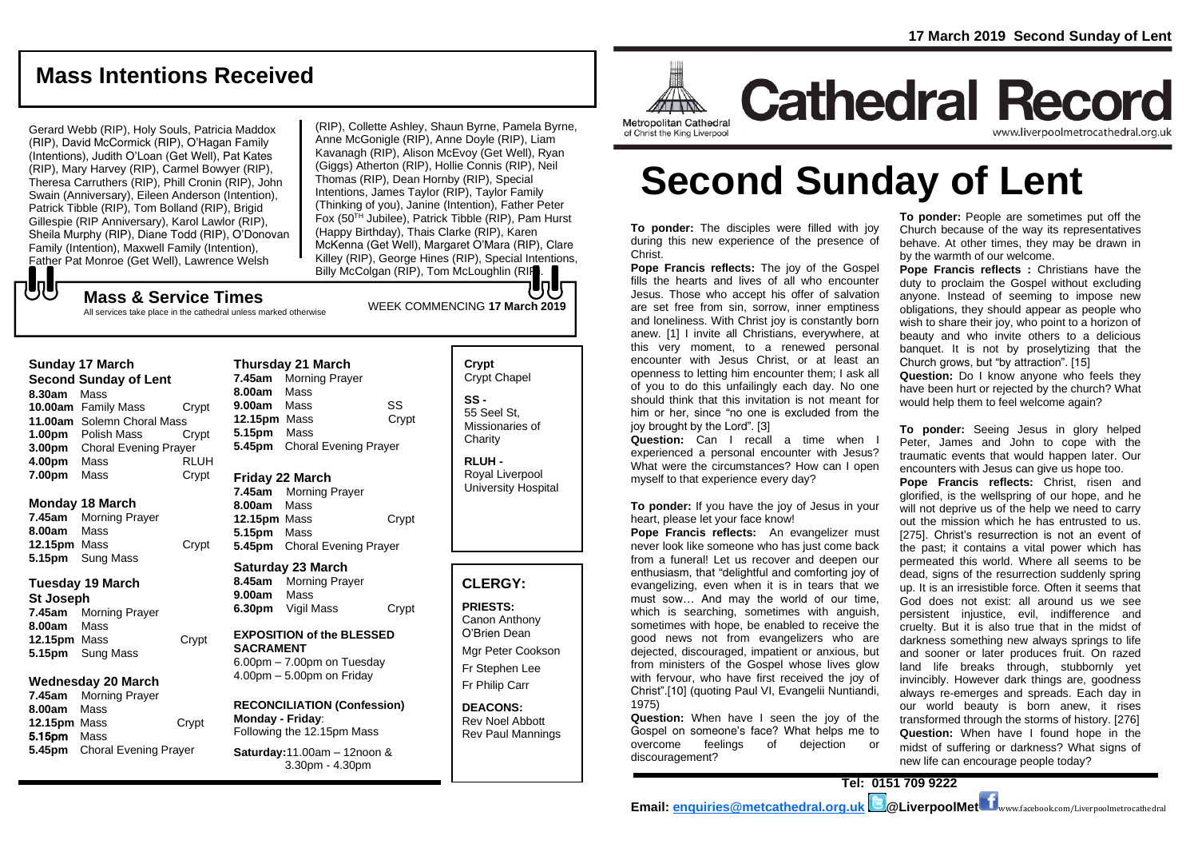## **Mass Intentions Received**

Gerard Webb (RIP), Holy Souls, Patricia Maddox (RIP), David McCormick (RIP), O'Hagan Family (Intentions), Judith O'Loan (Get Well), Pat Kates (RIP), Mary Harvey (RIP), Carmel Bowyer (RIP), Theresa Carruthers (RIP), Phill Cronin (RIP), John Swain (Anniversary), Eileen Anderson (Intention), Patrick Tibble (RIP), Tom Bolland (RIP), Brigid Gillespie (RIP Anniversary), Karol Lawlor (RIP), Sheila Murphy (RIP), Diane Todd (RIP), O'Donovan Family (Intention), Maxwell Family (Intention), Father Pat Monroe (Get Well), Lawrence Welsh

(RIP), Collette Ashley, Shaun Byrne, Pamela Byrne, Anne McGonigle (RIP), Anne Doyle (RIP), Liam Kavanagh (RIP), Alison McEvoy (Get Well), Ryan (Giggs) Atherton (RIP), Hollie Connis (RIP), Neil Thomas (RIP), Dean Hornby (RIP), Special Intentions, James Taylor (RIP), Taylor Family (Thinking of you), Janine (Intention), Father Peter Fox (50TH Jubilee), Patrick Tibble (RIP), Pam Hurst (Happy Birthday), Thais Clarke (RIP), Karen McKenna (Get Well), Margaret O'Mara (RIP), Clare Killey (RIP), George Hines (RIP), Special Intentions, Billy McColgan (RIP), Tom McLoughlin (RIP).

## もし

WEEK COMMENCING **<sup>17</sup> March <sup>2019</sup> Mass & Service Times** All services take place in the cathedral unless marked otherwise

### **Sunday 17 March**

**Second Sunday of Lent 8.30am** Mass **10.00am** Family Mass Crypt **11.00am** Solemn Choral Mass **1.00pm** Polish Mass Crypt **3.00pm** Choral Evening Prayer **4.00pm** Mass RLUH **7.00pm** Mass Crypt

### **Monday 18 March**

**7.45am** Morning Prayer **8.00am** Mass **12.15pm** Mass Crypt **5.15pm** Sung Mass

### **Tuesday 19 March**

**St Joseph**

**7.45am** Morning Prayer **8.00am** Mass **12.15pm** Mass Crypt **5.15pm** Sung Mass

### **Wednesday 20 March**

**7.45am** Morning Prayer **8.00am** Mass **12.15pm** Mass Crypt 5.15pm Mass **5.45pm** Choral Evening Prayer

**Thursday 21 March 7.45am** Morning Prayer **8.00am** Mass **9.00am** Mass SS **12.15pm** Mass Crypt **5.15pm** Mass **5.45pm** Choral Evening Prayer

### **Friday 22 March**

**7.45am** Morning Prayer **8.00am** Mass **12.15pm** Mass Crypt **5.15pm** Mass **5.45pm** Choral Evening Prayer

### **Saturday 23 March**

**8.45am** Morning Prayer **9.00am** Mass **6.30pm** Vigil Mass Crypt

### **EXPOSITION of the BLESSED SACRAMENT**

6.00pm – 7.00pm on Tuesday 4.00pm – 5.00pm on Friday

#### **RECONCILIATION (Confession) Monday - Friday**: Following the 12.15pm Mass

**Saturday:**11.00am – 12noon & 3.30pm - 4.30pm

### **Crypt**  Crypt Chapel **SS -** 55 Seel St, Missionaries of **Charity**

**RLUH -** Royal Liverpool University Hospital

## **CLERGY:**

**PRIESTS:** Canon Anthony O'Brien *Dean*

Mgr Peter Cookson Fr Stephen Lee Fr Philip Carr

**DEACONS:** Rev Noel Abbott Rev Paul Mannings



**Cathedral Record** www.liverpoolmetrocathedral.org.ul

of Christ the King Liverpool

# **Second Sunday of Lent**

**To ponder:** The disciples were filled with joy during this new experience of the presence of Christ.

**Pope Francis reflects:** The joy of the Gospel fills the hearts and lives of all who encounter Jesus. Those who accept his offer of salvation are set free from sin, sorrow, inner emptiness and loneliness. With Christ joy is constantly born anew. [1] I invite all Christians, everywhere, at this very moment, to a renewed personal encounter with Jesus Christ, or at least an openness to letting him encounter them; I ask all of you to do this unfailingly each day. No one should think that this invitation is not meant for him or her, since "no one is excluded from the joy brought by the Lord". [3]

**Question:** Can I recall a time when I experienced a personal encounter with Jesus? What were the circumstances? How can I open myself to that experience every day?

**To ponder:** If you have the joy of Jesus in your heart, please let your face know!

**Pope Francis reflects:** An evangelizer must never look like someone who has just come back from a funeral! Let us recover and deepen our enthusiasm, that "delightful and comforting joy of evangelizing, even when it is in tears that we must sow... And may the world of our time. which is searching, sometimes with anguish, sometimes with hope, be enabled to receive the good news not from evangelizers who are dejected, discouraged, impatient or anxious, but from ministers of the Gospel whose lives glow with fervour, who have first received the joy of Christ".[10] (quoting Paul VI, *Evangelii Nuntiandi,*  1975)

**Question:** When have I seen the joy of the Gospel on someone's face? What helps me to overcome feelings of dejection or discouragement?

**To ponder:** People are sometimes put off the Church because of the way its representatives behave. At other times, they may be drawn in by the warmth of our welcome.

**Pope Francis reflects :** Christians have the duty to proclaim the Gospel without excluding anyone. Instead of seeming to impose new obligations, they should appear as people who wish to share their joy, who point to a horizon of beauty and who invite others to a delicious banquet. It is not by proselytizing that the Church grows, but "by attraction". [15] **Question:** Do I know anyone who feels they have been hurt or rejected by the church? What

would help them to feel welcome again?

**To ponder:** Seeing Jesus in glory helped Peter, James and John to cope with the traumatic events that would happen later. Our encounters with Jesus can give us hope too. **Pope Francis reflects:** Christ, risen and glorified, is the wellspring of our hope, and he will not deprive us of the help we need to carry out the mission which he has entrusted to us. [275]. Christ's resurrection is not an event of the past; it contains a vital power which has permeated this world. Where all seems to be dead, signs of the resurrection suddenly spring up. It is an irresistible force. Often it seems that God does not exist: all around us we see persistent injustice, evil, indifference and cruelty. But it is also true that in the midst of darkness something new always springs to life and sooner or later produces fruit. On razed land life breaks through, stubbornly yet invincibly. However dark things are, goodness always re-emerges and spreads. Each day in our world beauty is born anew, it rises transformed through the storms of history. [276] **Question:** When have I found hope in the midst of suffering or darkness? What signs of new life can encourage people today?

**Tel: 0151 709 9222**